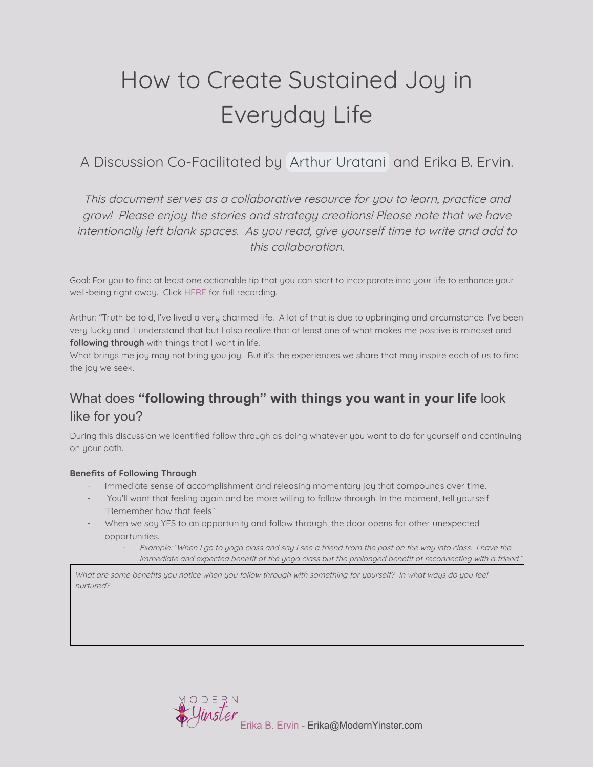# How to Create Sustained Joy in Everyday Life

A Discussion Co-Facilitated by Arthur [Uratani](mailto:auratani@bomcip.com) and Erika B. Ervin.

This document serves as <sup>a</sup> collaborative resource for you to learn, practice and grow! Please enjoy the stories and strategy creations! Please note that we have intentionally left blank spaces. As you read, give yourself time to write and add to this collaboration.

Goal: For you to find at least one actionable tip that you can start to incorporate into your life to enhance your well-being right away. Click **[HERE](https://youtu.be/MIw4G523O4s)** for full recording.

Arthur: "Truth be told, I've lived a very charmed life. A lot of that is due to upbringing and circumstance. I've been very lucky and I understand that but I also realize that at least one of what makes me positive is mindset and **following through** with things that I want in life.

What brings me joy may not bring you joy. But it's the experiences we share that may inspire each of us to find the joy we seek.

## What does **"following through" with things you want in your life** look like for you?

During this discussion we identified follow through as doing whatever you want to do for yourself and continuing on your path.

#### **Benefits of Following Through**

- Immediate sense of accomplishment and releasing momentary joy that compounds over time.
- You'll want that feeling again and be more willing to follow through. In the moment, tell yourself "Remember how that feels"
- When we say YES to an opportunity and follow through, the door opens for other unexpected opportunities.
	- Example: "When I go to yoga class and say I see <sup>a</sup> friend from the past on the way into class. I have the immediate and expected benefit of the yoga class but the prolonged benefit of reconnecting with <sup>a</sup> friend."

What are some benefits you notice when you follow through with something for yourself? In what ways do you feel nurtured?

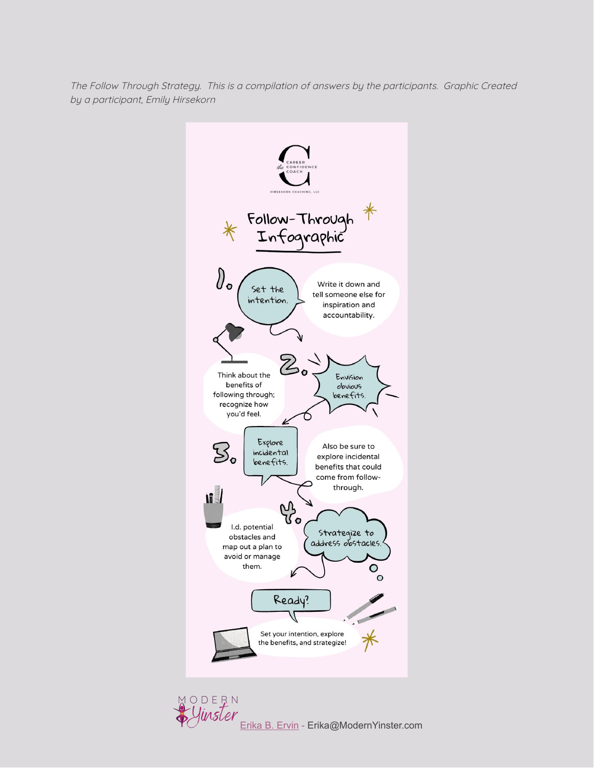The Follow Through Strategy. This is <sup>a</sup> compilation of answers by the participants. Graphic Created by <sup>a</sup> participant, Emily Hirsekorn



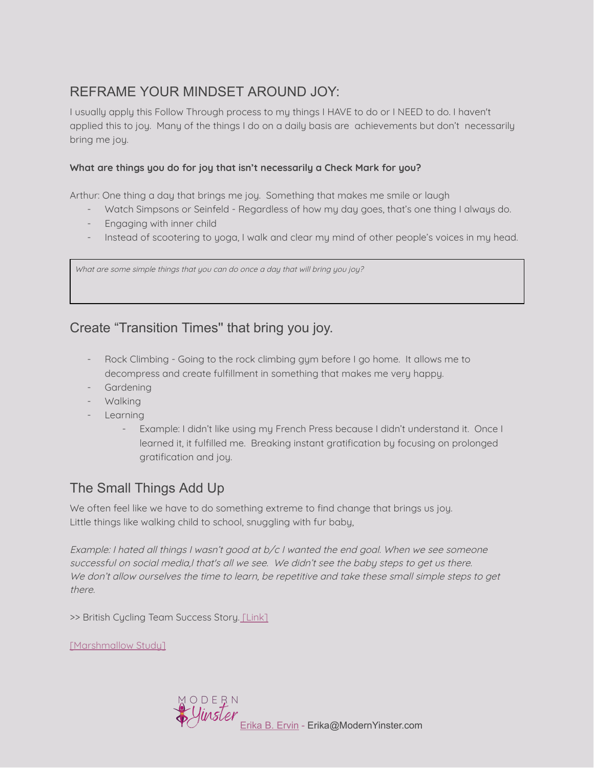## REFRAME YOUR MINDSET AROUND JOY:

I usually apply this Follow Through process to my things I HAVE to do or I NEED to do. I haven't applied this to joy. Many of the things I do on a daily basis are achievements but don't necessarily bring me joy.

#### **What are things you do for joy that isn't necessarily a Check Mark for you?**

Arthur: One thing a day that brings me joy. Something that makes me smile or laugh

- Watch Simpsons or Seinfeld Regardless of how my day goes, that's one thing I always do.
- Engaging with inner child
- Instead of scootering to yoga, I walk and clear my mind of other people's voices in my head.

What are some simple things that you can do once a day that will bring you joy?

## Create "Transition Times'' that bring you joy.

- Rock Climbing Going to the rock climbing gym before I go home. It allows me to decompress and create fulfillment in something that makes me very happy.
- Gardening
- Walking
- Learning
	- Example: I didn't like using my French Press because I didn't understand it. Once I learned it, it fulfilled me. Breaking instant gratification by focusing on prolonged gratification and joy.

## The Small Things Add Up

We often feel like we have to do something extreme to find change that brings us joy. Little things like walking child to school, snuggling with fur baby,

Example: I hated all things I wasn't good at b/c I wanted the end goal. When we see someone successful on social media,I that's all we see. We didn't see the baby steps to get us there. We don't allow ourselves the time to learn, be repetitive and take these small simple steps to get there.

>> British Cycling Team Success Story. [\[Link\]](https://youtu.be/5ugyeByDxvQ)

[\[Marshmallow](https://youtu.be/QX_oy9614HQ) Studu]